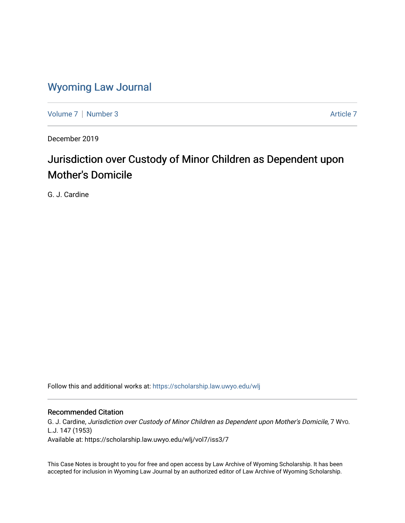## [Wyoming Law Journal](https://scholarship.law.uwyo.edu/wlj)

[Volume 7](https://scholarship.law.uwyo.edu/wlj/vol7) | [Number 3](https://scholarship.law.uwyo.edu/wlj/vol7/iss3) Article 7

December 2019

# Jurisdiction over Custody of Minor Children as Dependent upon Mother's Domicile

G. J. Cardine

Follow this and additional works at: [https://scholarship.law.uwyo.edu/wlj](https://scholarship.law.uwyo.edu/wlj?utm_source=scholarship.law.uwyo.edu%2Fwlj%2Fvol7%2Fiss3%2F7&utm_medium=PDF&utm_campaign=PDFCoverPages) 

### Recommended Citation

G. J. Cardine, Jurisdiction over Custody of Minor Children as Dependent upon Mother's Domicile, 7 WYO. L.J. 147 (1953)

Available at: https://scholarship.law.uwyo.edu/wlj/vol7/iss3/7

This Case Notes is brought to you for free and open access by Law Archive of Wyoming Scholarship. It has been accepted for inclusion in Wyoming Law Journal by an authorized editor of Law Archive of Wyoming Scholarship.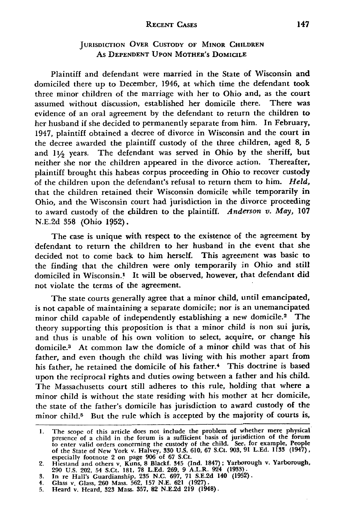#### **RECENT CASES**

#### **JURISDICTION** OVER **CUSTODY OF MINOR CHILDREN** As **DEPENDENT UPON MOTHER'S DOMICILE**

Plaintiff and defendant were married in the State of Wisconsin and domiciled there up to December, 1946, at which time the defendant took three minor children of the marriage with her to Ohio and, as the court assumed without discussion, established her domicile there. There was evidence of an oral agreement by the defendant to return the children to her husband if she decided to permanently separate from him. In February, 1947, plaintiff obtained a decree of divorce in Wisconsin and the court in the decree awarded the plaintiff custody of the three children, aged **8, 5** and 11/<sub>2</sub> years. The defendant was served in Ohio by the sheriff, but neither she nor the children appeared in the divorce action. Thereafter, plaintiff brought this habeas corpus proceeding in Ohio to recover custody of the children upon the defendant's refusal to return them to him. *Held,* that the children retained their Wisconsin domicile while temporarily in Ohio, and the Wisconsin court had jurisdiction in the divorce proceeding to award custody of the children to the plaintiff. *Anderson v. May,* **107** N.E.2d **358** (Ohio 1952).

The case is unique with respect to the existence of the agreement by defendant to return the children to her husband in the event that she decided not to come back to him herself. This agreement was basic to the finding that the children were only temporarily in Ohio and still domiciled in Wisconsin.<sup>1</sup> It will be observed, however, that defendant did not violate the terms of the agreement.

The state courts generally agree that a minor child, until emancipated, is not capable of maintaining a separate domicile; nor is an unemancipated minor child capable of independently establishing a new domicile.<sup>2</sup> The theory supporting this proposition is that a minor child is non sui juris, and thus is unable of his own volition to select, acquire, or change his domicile.3 At common law the domicle of a minor child was that of his father, and even though the child was living with his mother apart from his father, he retained the domicile of his father.<sup>4</sup> This doctrine is based upon the reciprocal rights and duties owing between a father and his child. The Massachusetts court still adheres to this rule, holding that where a minor child is without the state residing with his mother at her domicile, the state of the father's domicile has jurisdiction to award custody of the minor child.<sup>5</sup> But the rule which is accepted by the majority of courts is,

**I.** The scope of this article does not include the problem of whether mere physical presence of a child in the forum is a sufficient basis of jurisdiction of the forum to enter valid orders concerning the custody of the child. See, for example, People of the State of New York v. Halvey, **330** U.S. 610, 67 S.Ct. 903, 91 **L.Ed. 1133 (1947),**

especially footnote 2 on page 906 of 67 S.Ct.<br>
2. Hiestand and others v. Kuns, 8 Blackf. 345 (Ind. 1847); Yarborough v. Yarborough<br>
290 U.S. 202, 54 S.Ct. 181, 78 L.Ed. 269, 9 A.L.R. 924 (1933).<br>
3. In re Hall's Guardiansh

**<sup>5.</sup>** Heard v. Heard, **323** Mass. **357, 82 N.E.2d 219** (1948).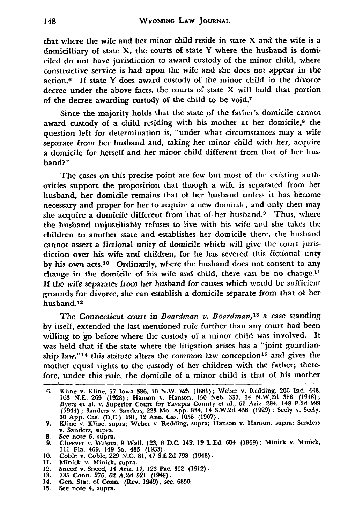that where the wife and her minor child reside in state X and the wife is a domicilliary of state X, the courts of state Y where the husband is domiciled do not have jurisdiction to award custody of the minor child, where constructive service is had upon the wife and she does not appear in the action.<sup>6</sup>**If** state Y does award custody of the minor child in the divorce decree under the above facts, the courts of state X will hold that portion of the decree awarding custody of the child to be void.<sup>7</sup>

Since the majority holds that the state of the father's domicile cannot award custody of a child residing with his mother at her domicile,<sup>8</sup> the question left for determination is, "under what circumstances may a wife separate from her husband and, taking her minor child with her, acquire a domicile for herself and her minor child different from that of her husband?"

The cases on this precise point are few but most of the existing authorities support the proposition that though a wife is separated from her husband, her domicile remains that of her husband unless it has become necessary and proper for her to acquire a new domicile, and only then may she acquire a domicile different from that of her husband. $9$  Thus, where the husband unjustifiably refuses to live with his wife and she takes the children to another state and establishes her domicile there, the husband cannot assert a fictional unity of domicile which will give the court jurisdiction over his wife and children, for he has severed this fictional unty **by** his own acts. 10 Ordinarily, where the husband does not consent to any change in the domicile of his wife and child, there can be no change.<sup>11</sup> If the wife separates from her husband for causes which would be sufficient grounds for divorce, she can establish a domicile separate from that of her husband.<sup>12</sup>

The Connecticut court in *Boardman v. Boardman,13* a case standing by itself, extended the last mentioned rule further than any court had been willing to go before where the custody of a minor child was involved. It was held that if the state where the litigation arises has a "joint guardianship law,"<sup>14</sup> this statute alters the common law conception<sup>15</sup> and gives the mother equal rights to the custody of her children with the father; therefore, under this rule, the domicile of a minor child is that **of** his mother

- **8.** See note **6,** supra. **9.** Cheever v. Wilson, **9** Wall. 123, **6 D.C.** 149, **19 L.Ed.** 604 **(1869);** Minick v. Minick, **I11** Fla. 469, 149 So, 483 **(1933).**
- **10.** Coble v. Coble, **229 N.C. 81,** 47 **S.E.2d 798** (1948). **11.** Minick v. Minick, supra.
- 
- 12. Sneed v. Sneed, 14 Ariz. **17, 123 Pac. 312 (1912).**
- **13. 135** Conn. **276, 62 A.2d 521** (1948).
- 14. Gen. Stat. of Conn. (Rev. 1949), sec. **6850.**
- **15.** See note 4, supra.

<sup>6.</sup> Kline v. Kline, 57 Iowa 386, 10 N.W. 825 (1881); Weber v. Redding, 200 Ind. 448<br>163 N.E. 269 (1928); Hanson v. Hanson, 150 Neb. 337, 34 N.W. 2d 388 (1948);<br>Byers et al. v. Superior Court for Yavapia County et al., 61 Ar 30 App. Cas. (D.C.) **191,** 12 Ann. Cas. **1058 (1907).**

**<sup>7.</sup>** Kline v. Kline, supra; Weber v. Redding, supra; Hanson v. Hanson, supra; Sanders **v.** Sanders, supra.